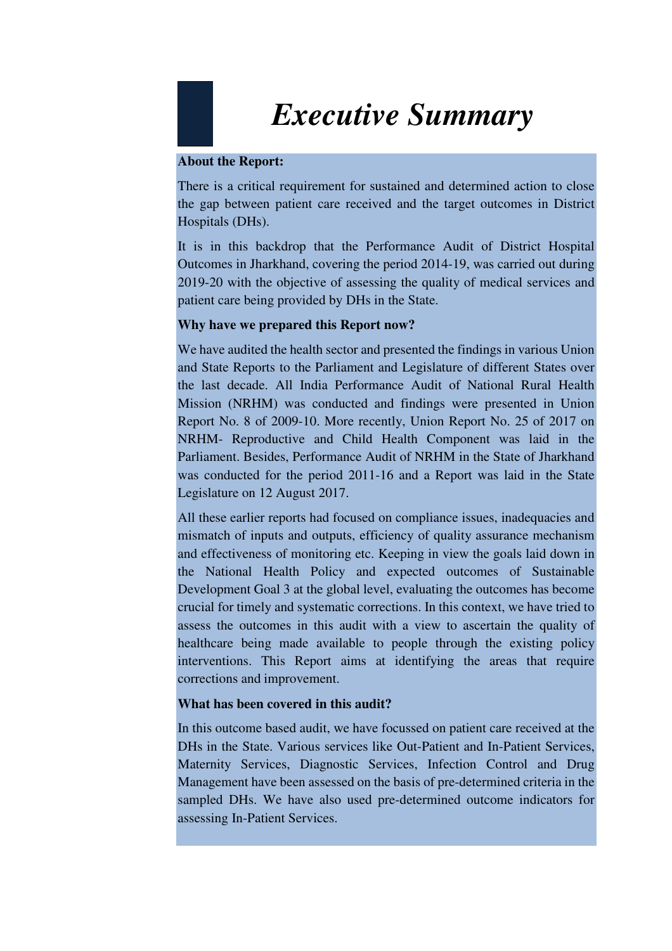# *Executive Summary*

#### **About the Report:**

There is a critical requirement for sustained and determined action to close the gap between patient care received and the target outcomes in District Hospitals (DHs).

It is in this backdrop that the Performance Audit of District Hospital Outcomes in Jharkhand, covering the period 2014-19, was carried out during 2019-20 with the objective of assessing the quality of medical services and patient care being provided by DHs in the State.

# **Why have we prepared this Report now?**

We have audited the health sector and presented the findings in various Union and State Reports to the Parliament and Legislature of different States over the last decade. All India Performance Audit of National Rural Health Mission (NRHM) was conducted and findings were presented in Union Report No. 8 of 2009-10. More recently, Union Report No. 25 of 2017 on NRHM- Reproductive and Child Health Component was laid in the Parliament. Besides, Performance Audit of NRHM in the State of Jharkhand was conducted for the period 2011-16 and a Report was laid in the State Legislature on 12 August 2017.

All these earlier reports had focused on compliance issues, inadequacies and mismatch of inputs and outputs, efficiency of quality assurance mechanism and effectiveness of monitoring etc. Keeping in view the goals laid down in the National Health Policy and expected outcomes of Sustainable Development Goal 3 at the global level, evaluating the outcomes has become crucial for timely and systematic corrections. In this context, we have tried to assess the outcomes in this audit with a view to ascertain the quality of healthcare being made available to people through the existing policy interventions. This Report aims at identifying the areas that require corrections and improvement.

# **What has been covered in this audit?**

In this outcome based audit, we have focussed on patient care received at the DHs in the State. Various services like Out-Patient and In-Patient Services, Maternity Services, Diagnostic Services, Infection Control and Drug Management have been assessed on the basis of pre-determined criteria in the sampled DHs. We have also used pre-determined outcome indicators for assessing In-Patient Services.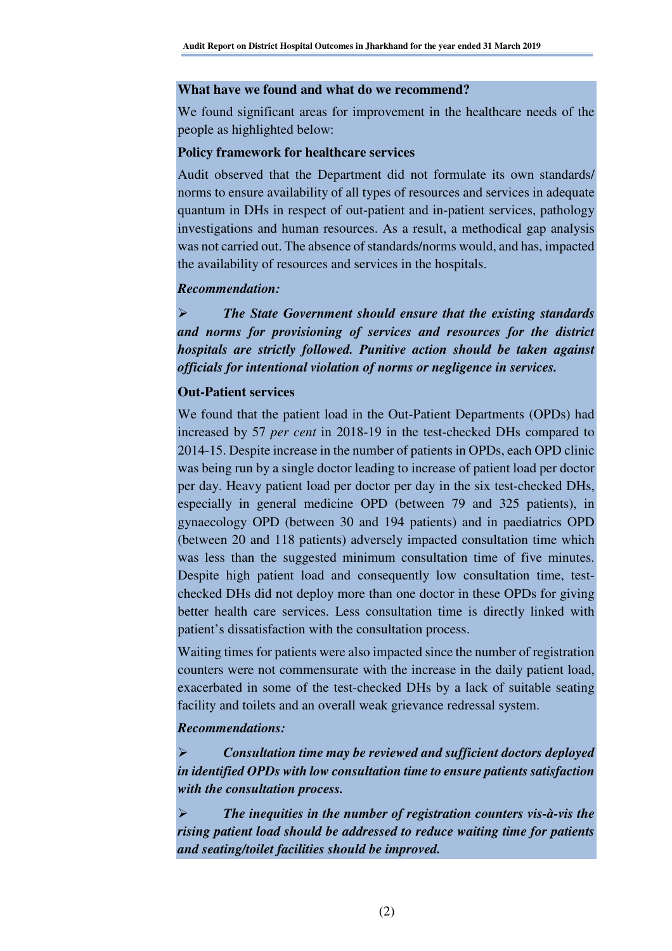#### **What have we found and what do we recommend?**

We found significant areas for improvement in the healthcare needs of the people as highlighted below:

#### **Policy framework for healthcare services**

Audit observed that the Department did not formulate its own standards/ norms to ensure availability of all types of resources and services in adequate quantum in DHs in respect of out-patient and in-patient services, pathology investigations and human resources. As a result, a methodical gap analysis was not carried out. The absence of standards/norms would, and has, impacted the availability of resources and services in the hospitals.

#### *Recommendation:*

 *The State Government should ensure that the existing standards and norms for provisioning of services and resources for the district hospitals are strictly followed. Punitive action should be taken against officials for intentional violation of norms or negligence in services.* 

# **Out-Patient services**

We found that the patient load in the Out-Patient Departments (OPDs) had increased by 57 *per cent* in 2018-19 in the test-checked DHs compared to 2014-15. Despite increase in the number of patients in OPDs, each OPD clinic was being run by a single doctor leading to increase of patient load per doctor per day. Heavy patient load per doctor per day in the six test-checked DHs, especially in general medicine OPD (between 79 and 325 patients), in gynaecology OPD (between 30 and 194 patients) and in paediatrics OPD (between 20 and 118 patients) adversely impacted consultation time which was less than the suggested minimum consultation time of five minutes. Despite high patient load and consequently low consultation time, testchecked DHs did not deploy more than one doctor in these OPDs for giving better health care services. Less consultation time is directly linked with patient's dissatisfaction with the consultation process.

Waiting times for patients were also impacted since the number of registration counters were not commensurate with the increase in the daily patient load, exacerbated in some of the test-checked DHs by a lack of suitable seating facility and toilets and an overall weak grievance redressal system.

# *Recommendations:*

 *Consultation time may be reviewed and sufficient doctors deployed in identified OPDs with low consultation time to ensure patients satisfaction with the consultation process.* 

 *The inequities in the number of registration counters vis-à-vis the rising patient load should be addressed to reduce waiting time for patients and seating/toilet facilities should be improved.*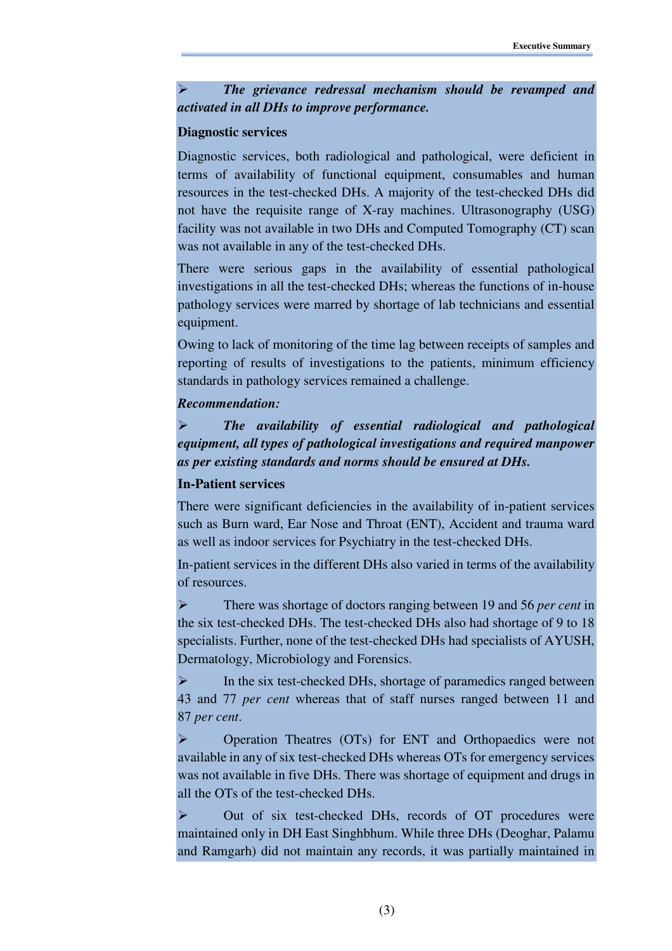*The grievance redressal mechanism should be revamped and activated in all DHs to improve performance.* 

#### **Diagnostic services**

Diagnostic services, both radiological and pathological, were deficient in terms of availability of functional equipment, consumables and human resources in the test-checked DHs. A majority of the test-checked DHs did not have the requisite range of X-ray machines. Ultrasonography (USG) facility was not available in two DHs and Computed Tomography (CT) scan was not available in any of the test-checked DHs.

There were serious gaps in the availability of essential pathological investigations in all the test-checked DHs; whereas the functions of in-house pathology services were marred by shortage of lab technicians and essential equipment.

Owing to lack of monitoring of the time lag between receipts of samples and reporting of results of investigations to the patients, minimum efficiency standards in pathology services remained a challenge.

# *Recommendation:*

 *The availability of essential radiological and pathological equipment, all types of pathological investigations and required manpower as per existing standards and norms should be ensured at DHs.* 

# **In-Patient services**

There were significant deficiencies in the availability of in-patient services such as Burn ward, Ear Nose and Throat (ENT), Accident and trauma ward as well as indoor services for Psychiatry in the test-checked DHs.

In-patient services in the different DHs also varied in terms of the availability of resources.

 There was shortage of doctors ranging between 19 and 56 *per cent* in the six test-checked DHs. The test-checked DHs also had shortage of 9 to 18 specialists. Further, none of the test-checked DHs had specialists of AYUSH, Dermatology, Microbiology and Forensics.

 $\triangleright$  In the six test-checked DHs, shortage of paramedics ranged between 43 and 77 *per cent* whereas that of staff nurses ranged between 11 and 87 *per cent*.

 Operation Theatres (OTs) for ENT and Orthopaedics were not available in any of six test-checked DHs whereas OTs for emergency services was not available in five DHs. There was shortage of equipment and drugs in all the OTs of the test-checked DHs.

 Out of six test-checked DHs, records of OT procedures were maintained only in DH East Singhbhum. While three DHs (Deoghar, Palamu and Ramgarh) did not maintain any records, it was partially maintained in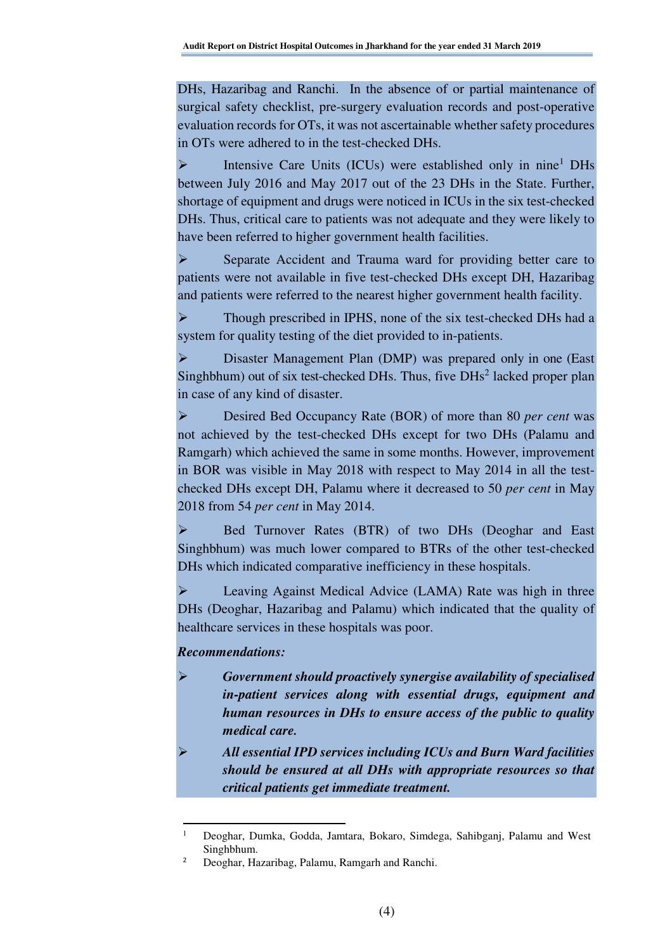DHs, Hazaribag and Ranchi. In the absence of or partial maintenance of surgical safety checklist, pre-surgery evaluation records and post-operative evaluation records for OTs, it was not ascertainable whether safety procedures in OTs were adhered to in the test-checked DHs.

 $\triangleright$  Intensive Care Units (ICUs) were established only in nine<sup>1</sup> DHs between July 2016 and May 2017 out of the 23 DHs in the State. Further, shortage of equipment and drugs were noticed in ICUs in the six test-checked DHs. Thus, critical care to patients was not adequate and they were likely to have been referred to higher government health facilities.

 Separate Accident and Trauma ward for providing better care to patients were not available in five test-checked DHs except DH, Hazaribag and patients were referred to the nearest higher government health facility.

 Though prescribed in IPHS, none of the six test-checked DHs had a system for quality testing of the diet provided to in-patients.

 Disaster Management Plan (DMP) was prepared only in one (East Singhbhum) out of six test-checked DHs. Thus, five  $D\text{Hs}^2$  lacked proper plan in case of any kind of disaster.

 Desired Bed Occupancy Rate (BOR) of more than 80 *per cent* was not achieved by the test-checked DHs except for two DHs (Palamu and Ramgarh) which achieved the same in some months. However, improvement in BOR was visible in May 2018 with respect to May 2014 in all the testchecked DHs except DH, Palamu where it decreased to 50 *per cent* in May 2018 from 54 *per cent* in May 2014.

 Bed Turnover Rates (BTR) of two DHs (Deoghar and East Singhbhum) was much lower compared to BTRs of the other test-checked DHs which indicated comparative inefficiency in these hospitals.

 Leaving Against Medical Advice (LAMA) Rate was high in three DHs (Deoghar, Hazaribag and Palamu) which indicated that the quality of healthcare services in these hospitals was poor.

#### *Recommendations:*

 $\overline{a}$ 

- *Government should proactively synergise availability of specialised in-patient services along with essential drugs, equipment and human resources in DHs to ensure access of the public to quality medical care.*
- *All essential IPD services including ICUs and Burn Ward facilities should be ensured at all DHs with appropriate resources so that critical patients get immediate treatment.*

<sup>1</sup> Deoghar, Dumka, Godda, Jamtara, Bokaro, Simdega, Sahibganj, Palamu and West Singhbhum.

<sup>2</sup> Deoghar, Hazaribag, Palamu, Ramgarh and Ranchi.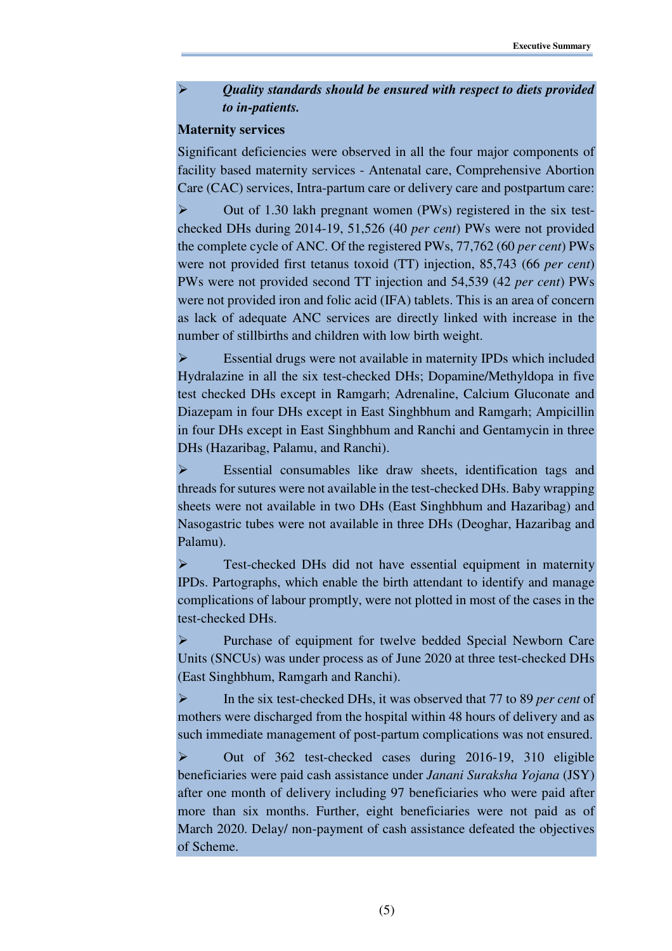# *Quality standards should be ensured with respect to diets provided to in-patients.*

#### **Maternity services**

Significant deficiencies were observed in all the four major components of facility based maternity services - Antenatal care, Comprehensive Abortion Care (CAC) services, Intra-partum care or delivery care and postpartum care:

 Out of 1.30 lakh pregnant women (PWs) registered in the six testchecked DHs during 2014-19, 51,526 (40 *per cent*) PWs were not provided the complete cycle of ANC. Of the registered PWs, 77,762 (60 *per cent*) PWs were not provided first tetanus toxoid (TT) injection, 85,743 (66 *per cent*) PWs were not provided second TT injection and 54,539 (42 *per cent*) PWs were not provided iron and folic acid (IFA) tablets. This is an area of concern as lack of adequate ANC services are directly linked with increase in the number of stillbirths and children with low birth weight.

 Essential drugs were not available in maternity IPDs which included Hydralazine in all the six test-checked DHs; Dopamine/Methyldopa in five test checked DHs except in Ramgarh; Adrenaline, Calcium Gluconate and Diazepam in four DHs except in East Singhbhum and Ramgarh; Ampicillin in four DHs except in East Singhbhum and Ranchi and Gentamycin in three DHs (Hazaribag, Palamu, and Ranchi).

 Essential consumables like draw sheets, identification tags and threads for sutures were not available in the test-checked DHs. Baby wrapping sheets were not available in two DHs (East Singhbhum and Hazaribag) and Nasogastric tubes were not available in three DHs (Deoghar, Hazaribag and Palamu).

Fest-checked DHs did not have essential equipment in maternity IPDs. Partographs, which enable the birth attendant to identify and manage complications of labour promptly, were not plotted in most of the cases in the test-checked DHs.

 Purchase of equipment for twelve bedded Special Newborn Care Units (SNCUs) was under process as of June 2020 at three test-checked DHs (East Singhbhum, Ramgarh and Ranchi).

 In the six test-checked DHs, it was observed that 77 to 89 *per cent* of mothers were discharged from the hospital within 48 hours of delivery and as such immediate management of post-partum complications was not ensured.

 Out of 362 test-checked cases during 2016-19, 310 eligible beneficiaries were paid cash assistance under *Janani Suraksha Yojana* (JSY) after one month of delivery including 97 beneficiaries who were paid after more than six months. Further, eight beneficiaries were not paid as of March 2020. Delay/ non-payment of cash assistance defeated the objectives of Scheme.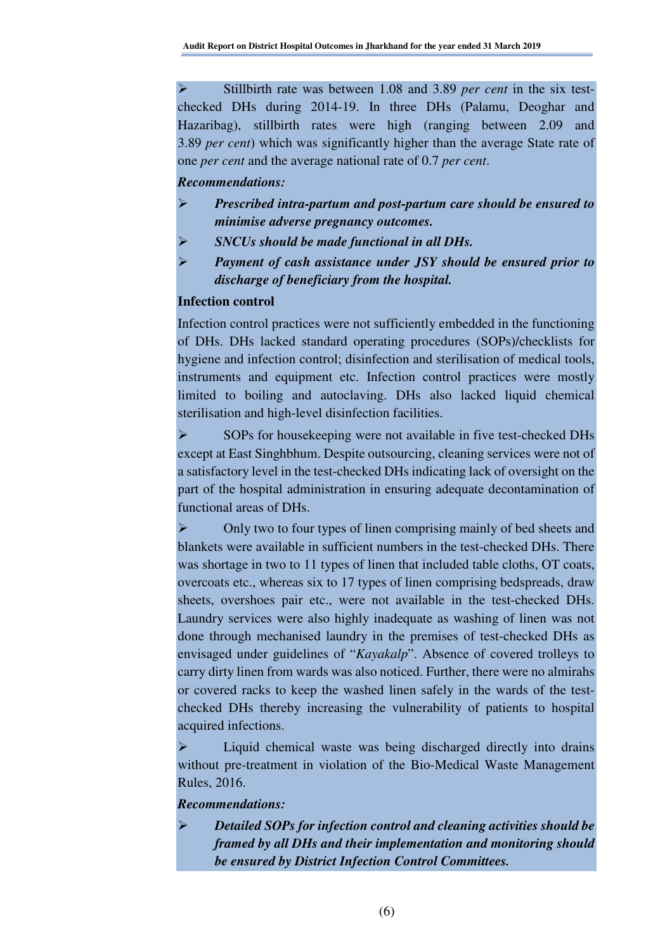Stillbirth rate was between 1.08 and 3.89 *per cent* in the six testchecked DHs during 2014-19. In three DHs (Palamu, Deoghar and Hazaribag), stillbirth rates were high (ranging between 2.09 and 3.89 *per cent*) which was significantly higher than the average State rate of one *per cent* and the average national rate of 0.7 *per cent*.

#### *Recommendations:*

- *Prescribed intra-partum and post-partum care should be ensured to minimise adverse pregnancy outcomes.*
- *SNCUs should be made functional in all DHs.*
- *Payment of cash assistance under JSY should be ensured prior to discharge of beneficiary from the hospital.*

#### **Infection control**

Infection control practices were not sufficiently embedded in the functioning of DHs. DHs lacked standard operating procedures (SOPs)/checklists for hygiene and infection control; disinfection and sterilisation of medical tools, instruments and equipment etc. Infection control practices were mostly limited to boiling and autoclaving. DHs also lacked liquid chemical sterilisation and high-level disinfection facilities.

SOPs for house keeping were not available in five test-checked DHs except at East Singhbhum. Despite outsourcing, cleaning services were not of a satisfactory level in the test-checked DHs indicating lack of oversight on the part of the hospital administration in ensuring adequate decontamination of functional areas of DHs.

 Only two to four types of linen comprising mainly of bed sheets and blankets were available in sufficient numbers in the test-checked DHs. There was shortage in two to 11 types of linen that included table cloths, OT coats, overcoats etc., whereas six to 17 types of linen comprising bedspreads, draw sheets, overshoes pair etc., were not available in the test-checked DHs. Laundry services were also highly inadequate as washing of linen was not done through mechanised laundry in the premises of test-checked DHs as envisaged under guidelines of "*Kayakalp*". Absence of covered trolleys to carry dirty linen from wards was also noticed. Further, there were no almirahs or covered racks to keep the washed linen safely in the wards of the testchecked DHs thereby increasing the vulnerability of patients to hospital acquired infections.

 Liquid chemical waste was being discharged directly into drains without pre-treatment in violation of the Bio-Medical Waste Management Rules, 2016.

#### *Recommendations:*

 *Detailed SOPs for infection control and cleaning activities should be framed by all DHs and their implementation and monitoring should be ensured by District Infection Control Committees.*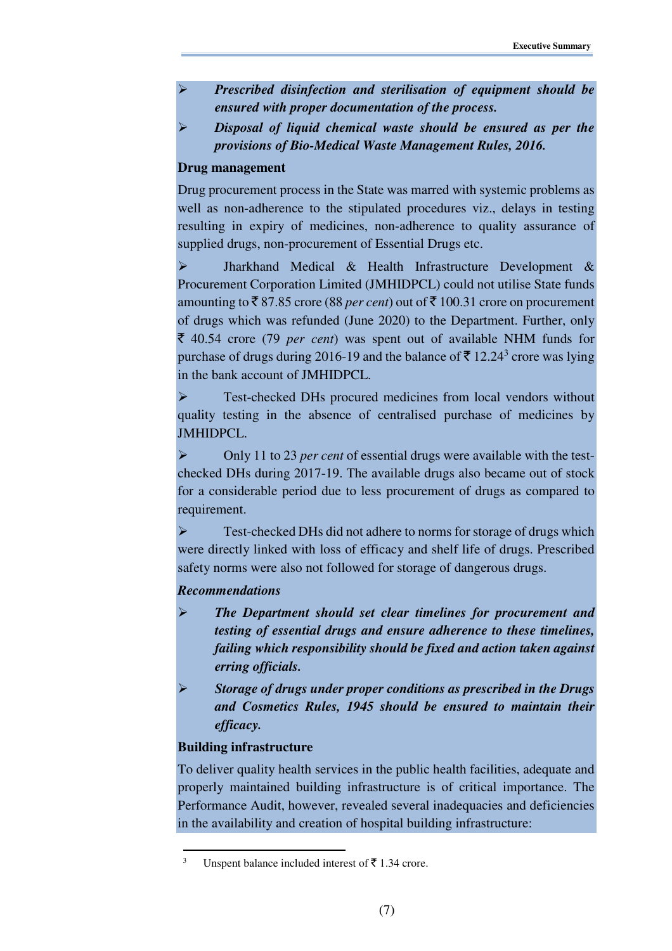- *Prescribed disinfection and sterilisation of equipment should be ensured with proper documentation of the process.*
- *Disposal of liquid chemical waste should be ensured as per the provisions of Bio-Medical Waste Management Rules, 2016.*

# **Drug management**

Drug procurement process in the State was marred with systemic problems as well as non-adherence to the stipulated procedures viz., delays in testing resulting in expiry of medicines, non-adherence to quality assurance of supplied drugs, non-procurement of Essential Drugs etc.

 Jharkhand Medical & Health Infrastructure Development & Procurement Corporation Limited (JMHIDPCL) could not utilise State funds amounting to  $\bar{\mathcal{F}}$  87.85 crore (88 *per cent*) out of  $\bar{\mathcal{F}}$  100.31 crore on procurement of drugs which was refunded (June 2020) to the Department. Further, only ` 40.54 crore (79 *per cent*) was spent out of available NHM funds for purchase of drugs during 2016-19 and the balance of  $\bar{\mathfrak{F}}$  12.24<sup>3</sup> crore was lying in the bank account of JMHIDPCL.

 Test-checked DHs procured medicines from local vendors without quality testing in the absence of centralised purchase of medicines by JMHIDPCL.

 Only 11 to 23 *per cent* of essential drugs were available with the testchecked DHs during 2017-19. The available drugs also became out of stock for a considerable period due to less procurement of drugs as compared to requirement.

 Test-checked DHs did not adhere to norms for storage of drugs which were directly linked with loss of efficacy and shelf life of drugs. Prescribed safety norms were also not followed for storage of dangerous drugs.

# *Recommendations*

- *The Department should set clear timelines for procurement and testing of essential drugs and ensure adherence to these timelines, failing which responsibility should be fixed and action taken against erring officials.*
- *Storage of drugs under proper conditions as prescribed in the Drugs and Cosmetics Rules, 1945 should be ensured to maintain their efficacy.*

# **Building infrastructure**

l

To deliver quality health services in the public health facilities, adequate and properly maintained building infrastructure is of critical importance. The Performance Audit, however, revealed several inadequacies and deficiencies in the availability and creation of hospital building infrastructure:

<sup>3</sup> Unspent balance included interest of  $\bar{\tau}$  1.34 crore.